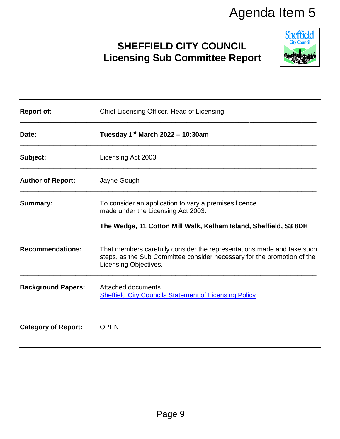# **SHEFFIELD CITY COUNCIL Licensing Sub Committee Report**



|                            | Agenda Item 5                                                                                                                                                              |                                         |
|----------------------------|----------------------------------------------------------------------------------------------------------------------------------------------------------------------------|-----------------------------------------|
|                            | <b>SHEFFIELD CITY COUNCIL</b><br><b>Licensing Sub Committee Report</b>                                                                                                     | <b>Sheffield</b><br><b>City Council</b> |
| <b>Report of:</b>          | Chief Licensing Officer, Head of Licensing                                                                                                                                 |                                         |
| Date:                      | Tuesday $1st$ March 2022 – 10:30am                                                                                                                                         |                                         |
| Subject:                   | Licensing Act 2003                                                                                                                                                         |                                         |
| <b>Author of Report:</b>   | Jayne Gough                                                                                                                                                                |                                         |
| <b>Summary:</b>            | To consider an application to vary a premises licence<br>made under the Licensing Act 2003.<br>The Wedge, 11 Cotton Mill Walk, Kelham Island, Sheffield, S3 8DH            |                                         |
| <b>Recommendations:</b>    | That members carefully consider the representations made and take such<br>steps, as the Sub Committee consider necessary for the promotion of the<br>Licensing Objectives. |                                         |
| <b>Background Papers:</b>  | <b>Attached documents</b><br><b>Sheffield City Councils Statement of Licensing Policy</b>                                                                                  |                                         |
| <b>Category of Report:</b> | <b>OPEN</b>                                                                                                                                                                |                                         |
|                            |                                                                                                                                                                            |                                         |
|                            | Page 9                                                                                                                                                                     |                                         |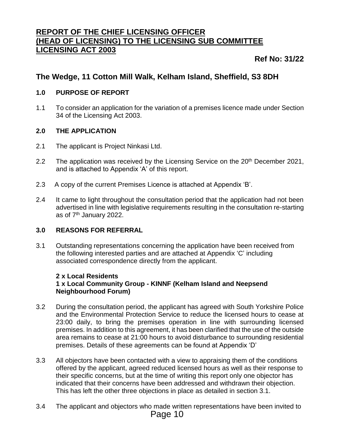#### **REPORT OF THE CHIEF LICENSING OFFICER (HEAD OF LICENSING) TO THE LICENSING SUB COMMITTEE LICENSING ACT 2003**

#### **Ref No: 31/22**

#### **The Wedge, 11 Cotton Mill Walk, Kelham Island, Sheffield, S3 8DH**

#### **1.0 PURPOSE OF REPORT**

1.1 To consider an application for the variation of a premises licence made under Section 34 of the Licensing Act 2003.

#### **2.0 THE APPLICATION**

- 2.1 The applicant is Project Ninkasi Ltd.
- 2.2 The application was received by the Licensing Service on the 20<sup>th</sup> December 2021, and is attached to Appendix 'A' of this report.
- 2.3 A copy of the current Premises Licence is attached at Appendix 'B'.
- 2.4 It came to light throughout the consultation period that the application had not been advertised in line with legislative requirements resulting in the consultation re-starting as of 7<sup>th</sup> January 2022.

#### **3.0 REASONS FOR REFERRAL**

3.1 Outstanding representations concerning the application have been received from the following interested parties and are attached at Appendix 'C' including associated correspondence directly from the applicant.

#### **2 x Local Residents 1 x Local Community Group - KINNF (Kelham Island and Neepsend Neighbourhood Forum)**

- 3.2 During the consultation period, the applicant has agreed with South Yorkshire Police and the Environmental Protection Service to reduce the licensed hours to cease at 23:00 daily, to bring the premises operation in line with surrounding licensed premises. In addition to this agreement, it has been clarified that the use of the outside area remains to cease at 21:00 hours to avoid disturbance to surrounding residential premises. Details of these agreements can be found at Appendix 'D'
- 3.3 All objectors have been contacted with a view to appraising them of the conditions offered by the applicant, agreed reduced licensed hours as well as their response to their specific concerns, but at the time of writing this report only one objector has indicated that their concerns have been addressed and withdrawn their objection. This has left the other three objections in place as detailed in section 3.1.
- 3.4 The applicant and objectors who made written representations have been invited to Page 10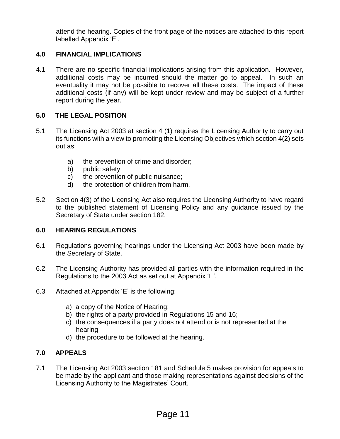attend the hearing. Copies of the front page of the notices are attached to this report labelled Appendix 'E'.

#### **4.0 FINANCIAL IMPLICATIONS**

4.1 There are no specific financial implications arising from this application. However, additional costs may be incurred should the matter go to appeal. In such an eventuality it may not be possible to recover all these costs. The impact of these additional costs (if any) will be kept under review and may be subject of a further report during the year.

#### **5.0 THE LEGAL POSITION**

- 5.1 The Licensing Act 2003 at section 4 (1) requires the Licensing Authority to carry out its functions with a view to promoting the Licensing Objectives which section 4(2) sets out as:
	- a) the prevention of crime and disorder;
	- b) public safety;
	- c) the prevention of public nuisance;
	- d) the protection of children from harm.
- 5.2 Section 4(3) of the Licensing Act also requires the Licensing Authority to have regard to the published statement of Licensing Policy and any guidance issued by the Secretary of State under section 182.

#### **6.0 HEARING REGULATIONS**

- 6.1 Regulations governing hearings under the Licensing Act 2003 have been made by the Secretary of State.
- 6.2 The Licensing Authority has provided all parties with the information required in the Regulations to the 2003 Act as set out at Appendix 'E'.
- 6.3 Attached at Appendix 'E' is the following:
	- a) a copy of the Notice of Hearing;
	- b) the rights of a party provided in Regulations 15 and 16;
	- c) the consequences if a party does not attend or is not represented at the hearing
	- d) the procedure to be followed at the hearing.

#### **7.0 APPEALS**

7.1 The Licensing Act 2003 section 181 and Schedule 5 makes provision for appeals to be made by the applicant and those making representations against decisions of the Licensing Authority to the Magistrates' Court.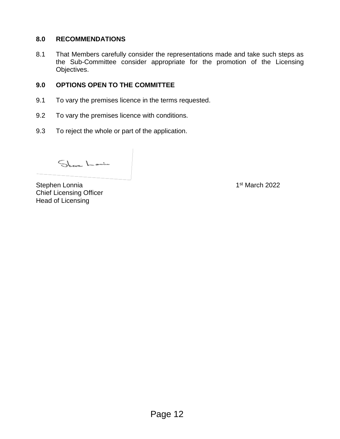#### **8.0 RECOMMENDATIONS**

8.1 That Members carefully consider the representations made and take such steps as the Sub-Committee consider appropriate for the promotion of the Licensing Objectives.

#### **9.0 OPTIONS OPEN TO THE COMMITTEE**

- 9.1 To vary the premises licence in the terms requested.
- 9.2 To vary the premises licence with conditions.
- 9.3 To reject the whole or part of the application.

Street Lanin

Stephen Lonnia Chief Licensing Officer Head of Licensing

1<sup>st</sup> March 2022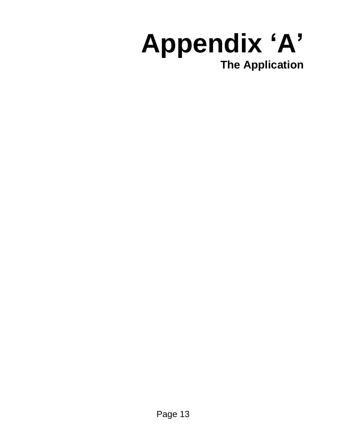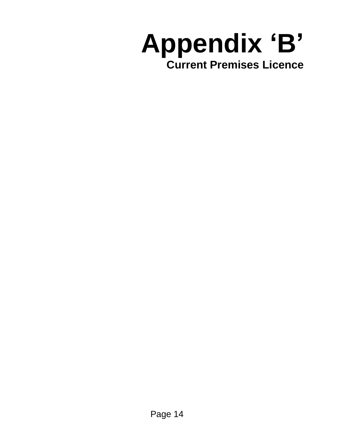# **Appendix 'B' Current Premises Licence**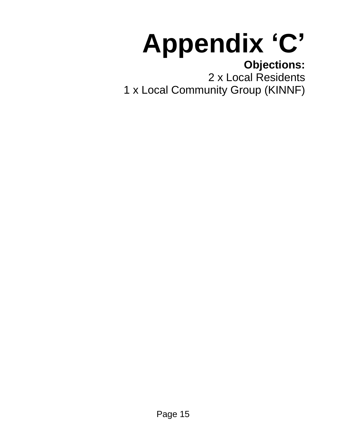# **Appendix 'C'**

# **Objections:**

2 x Local Residents 1 x Local Community Group (KINNF)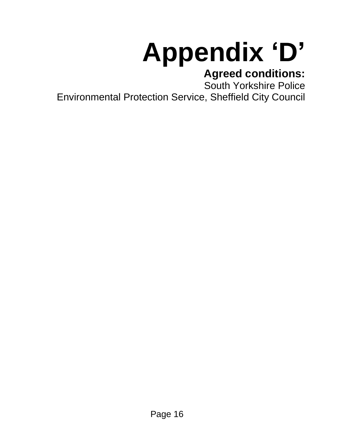# **Appendix 'D'**

# **Agreed conditions:**

South Yorkshire Police

Environmental Protection Service, Sheffield City Council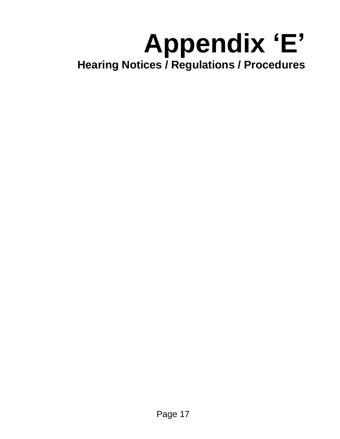# **Appendix 'E' Hearing Notices / Regulations / Procedures**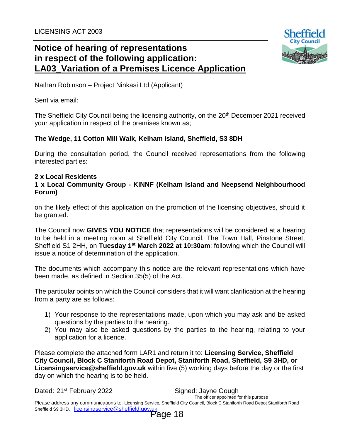

Nathan Robinson – Project Ninkasi Ltd (Applicant)

Sent via email:

The Sheffield City Council being the licensing authority, on the 20<sup>th</sup> December 2021 received your application in respect of the premises known as;

#### **The Wedge, 11 Cotton Mill Walk, Kelham Island, Sheffield, S3 8DH**

During the consultation period, the Council received representations from the following interested parties:

#### **2 x Local Residents**

#### **1 x Local Community Group - KINNF (Kelham Island and Neepsend Neighbourhood Forum)**

on the likely effect of this application on the promotion of the licensing objectives, should it be granted.

The Council now **GIVES YOU NOTICE** that representations will be considered at a hearing to be held in a meeting room at Sheffield City Council, The Town Hall, Pinstone Street, Sheffield S1 2HH, on Tuesday 1<sup>st</sup> March 2022 at 10:30am; following which the Council will issue a notice of determination of the application.

The documents which accompany this notice are the relevant representations which have been made, as defined in Section 35(5) of the Act.

The particular points on which the Council considers that it will want clarification at the hearing from a party are as follows:

- 1) Your response to the representations made, upon which you may ask and be asked questions by the parties to the hearing.
- 2) You may also be asked questions by the parties to the hearing, relating to your application for a licence.

Please complete the attached form LAR1 and return it to: **Licensing Service, Sheffield City Council, Block C Staniforth Road Depot, Staniforth Road, Sheffield, S9 3HD, or Licensingservice@sheffield.gov.uk** within five (5) working days before the day or the first day on which the hearing is to be held.

Dated: 21<sup>st</sup> February 2022 Signed: Jayne Gough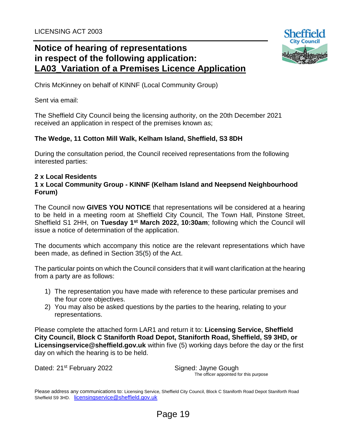

Chris McKinney on behalf of KINNF (Local Community Group)

Sent via email:

The Sheffield City Council being the licensing authority, on the 20th December 2021 received an application in respect of the premises known as;

#### **The Wedge, 11 Cotton Mill Walk, Kelham Island, Sheffield, S3 8DH**

During the consultation period, the Council received representations from the following interested parties:

#### **2 x Local Residents**

#### **1 x Local Community Group - KINNF (Kelham Island and Neepsend Neighbourhood Forum)**

The Council now **GIVES YOU NOTICE** that representations will be considered at a hearing to be held in a meeting room at Sheffield City Council, The Town Hall, Pinstone Street, Sheffield S1 2HH, on Tuesday 1<sup>st</sup> March 2022, 10:30am; following which the Council will issue a notice of determination of the application.

The documents which accompany this notice are the relevant representations which have been made, as defined in Section 35(5) of the Act.

The particular points on which the Council considers that it will want clarification at the hearing from a party are as follows:

- 1) The representation you have made with reference to these particular premises and the four core objectives.
- 2) You may also be asked questions by the parties to the hearing, relating to your representations.

Please complete the attached form LAR1 and return it to: **Licensing Service, Sheffield City Council, Block C Staniforth Road Depot, Staniforth Road, Sheffield, S9 3HD, or Licensingservice@sheffield.gov.uk** within five (5) working days before the day or the first day on which the hearing is to be held.

Dated: 21<sup>st</sup> February 2022 Signed: Jayne Gough

The officer appointed for this purpose

Please address any communications to: Licensing Service, Sheffield City Council, Block C Staniforth Road Depot Staniforth Road Sheffield S9 3HD. [licensingservice@sheffield.gov.uk](mailto:licensingservice@sheffield.gov.uk)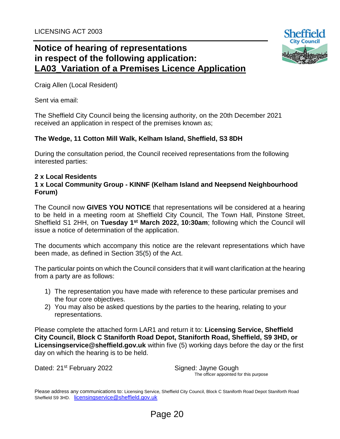![](_page_11_Picture_1.jpeg)

Craig Allen (Local Resident)

Sent via email:

The Sheffield City Council being the licensing authority, on the 20th December 2021 received an application in respect of the premises known as;

#### **The Wedge, 11 Cotton Mill Walk, Kelham Island, Sheffield, S3 8DH**

During the consultation period, the Council received representations from the following interested parties:

#### **2 x Local Residents 1 x Local Community Group - KINNF (Kelham Island and Neepsend Neighbourhood Forum)**

The Council now **GIVES YOU NOTICE** that representations will be considered at a hearing to be held in a meeting room at Sheffield City Council, The Town Hall, Pinstone Street, Sheffield S1 2HH, on Tuesday 1<sup>st</sup> March 2022, 10:30am; following which the Council will issue a notice of determination of the application.

The documents which accompany this notice are the relevant representations which have been made, as defined in Section 35(5) of the Act.

The particular points on which the Council considers that it will want clarification at the hearing from a party are as follows:

- 1) The representation you have made with reference to these particular premises and the four core objectives.
- 2) You may also be asked questions by the parties to the hearing, relating to your representations.

Please complete the attached form LAR1 and return it to: **Licensing Service, Sheffield City Council, Block C Staniforth Road Depot, Staniforth Road, Sheffield, S9 3HD, or Licensingservice@sheffield.gov.uk** within five (5) working days before the day or the first day on which the hearing is to be held.

Dated: 21<sup>st</sup> February 2022 Signed: Jayne Gough

The officer appointed for this purpose

Please address any communications to: Licensing Service, Sheffield City Council, Block C Staniforth Road Depot Staniforth Road Sheffield S9 3HD. [licensingservice@sheffield.gov.uk](mailto:licensingservice@sheffield.gov.uk)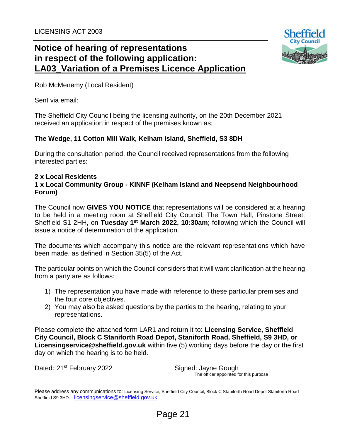![](_page_12_Picture_1.jpeg)

Rob McMenemy (Local Resident)

Sent via email:

The Sheffield City Council being the licensing authority, on the 20th December 2021 received an application in respect of the premises known as;

#### **The Wedge, 11 Cotton Mill Walk, Kelham Island, Sheffield, S3 8DH**

During the consultation period, the Council received representations from the following interested parties:

#### **2 x Local Residents**

#### **1 x Local Community Group - KINNF (Kelham Island and Neepsend Neighbourhood Forum)**

The Council now **GIVES YOU NOTICE** that representations will be considered at a hearing to be held in a meeting room at Sheffield City Council, The Town Hall, Pinstone Street, Sheffield S1 2HH, on Tuesday 1<sup>st</sup> March 2022, 10:30am; following which the Council will issue a notice of determination of the application.

The documents which accompany this notice are the relevant representations which have been made, as defined in Section 35(5) of the Act.

The particular points on which the Council considers that it will want clarification at the hearing from a party are as follows:

- 1) The representation you have made with reference to these particular premises and the four core objectives.
- 2) You may also be asked questions by the parties to the hearing, relating to your representations.

Please complete the attached form LAR1 and return it to: **Licensing Service, Sheffield City Council, Block C Staniforth Road Depot, Staniforth Road, Sheffield, S9 3HD, or Licensingservice@sheffield.gov.uk** within five (5) working days before the day or the first day on which the hearing is to be held.

Dated: 21<sup>st</sup> February 2022 Signed: Jayne Gough

The officer appointed for this purpose

Please address any communications to: Licensing Service, Sheffield City Council, Block C Staniforth Road Depot Staniforth Road Sheffield S9 3HD. [licensingservice@sheffield.gov.uk](mailto:licensingservice@sheffield.gov.uk)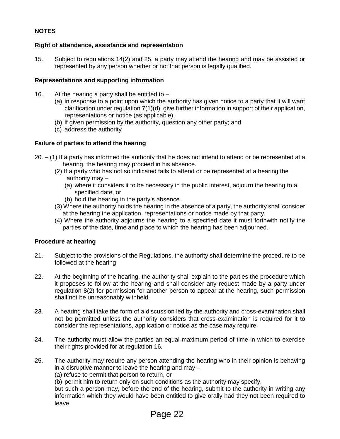#### **NOTES**

#### **Right of attendance, assistance and representation**

15. Subject to regulations 14(2) and 25, a party may attend the hearing and may be assisted or represented by any person whether or not that person is legally qualified.

#### **Representations and supporting information**

- 16. At the hearing a party shall be entitled to
	- (a) in response to a point upon which the authority has given notice to a party that it will want clarification under regulation 7(1)(d), give further information in support of their application, representations or notice (as applicable),
	- (b) if given permission by the authority, question any other party; and
	- (c) address the authority

#### **Failure of parties to attend the hearing**

- $20. (1)$  If a party has informed the authority that he does not intend to attend or be represented at a hearing, the hearing may proceed in his absence.
	- (2) If a party who has not so indicated fails to attend or be represented at a hearing the authority may:–
		- (a) where it considers it to be necessary in the public interest, adjourn the hearing to a specified date, or
		- (b) hold the hearing in the party's absence.
	- (3) Where the authority holds the hearing in the absence of a party, the authority shall consider at the hearing the application, representations or notice made by that party.
	- (4) Where the authority adjourns the hearing to a specified date it must forthwith notify the parties of the date, time and place to which the hearing has been adjourned.

#### **Procedure at hearing**

- 21. Subject to the provisions of the Regulations, the authority shall determine the procedure to be followed at the hearing.
- 22. At the beginning of the hearing, the authority shall explain to the parties the procedure which it proposes to follow at the hearing and shall consider any request made by a party under regulation 8(2) for permission for another person to appear at the hearing, such permission shall not be unreasonably withheld.
- 23. A hearing shall take the form of a discussion led by the authority and cross-examination shall not be permitted unless the authority considers that cross-examination is required for it to consider the representations, application or notice as the case may require.
- 24. The authority must allow the parties an equal maximum period of time in which to exercise their rights provided for at regulation 16.
- 25. The authority may require any person attending the hearing who in their opinion is behaving in a disruptive manner to leave the hearing and may –

(a) refuse to permit that person to return, or

(b) permit him to return only on such conditions as the authority may specify,

but such a person may, before the end of the hearing, submit to the authority in writing any information which they would have been entitled to give orally had they not been required to leave.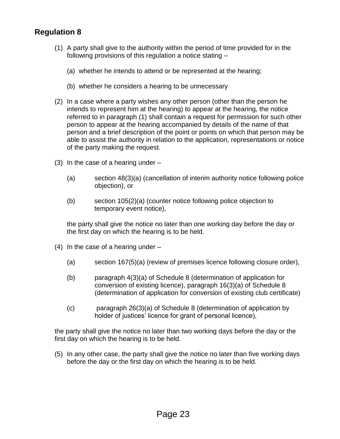#### **Regulation 8**

- (1) A party shall give to the authority within the period of time provided for in the following provisions of this regulation a notice stating –
	- (a) whether he intends to attend or be represented at the hearing;
	- (b) whether he considers a hearing to be unnecessary
- (2) In a case where a party wishes any other person (other than the person he intends to represent him at the hearing) to appear at the hearing, the notice referred to in paragraph (1) shall contain a request for permission for such other person to appear at the hearing accompanied by details of the name of that person and a brief description of the point or points on which that person may be able to assist the authority in relation to the application, representations or notice of the party making the request.
- (3) In the case of a hearing under
	- (a) section 48(3)(a) (cancellation of interim authority notice following police objection), or
	- (b) section 105(2)(a) (counter notice following police objection to temporary event notice),

the party shall give the notice no later than one working day before the day or the first day on which the hearing is to be held.

- (4) In the case of a hearing under  $-$ 
	- (a) section 167(5)(a) (review of premises licence following closure order),
	- (b) paragraph 4(3)(a) of Schedule 8 (determination of application for conversion of existing licence), paragraph 16(3)(a) of Schedule 8 (determination of application for conversion of existing club certificate)
	- (c) paragraph 26(3)(a) of Schedule 8 (determination of application by holder of justices' licence for grant of personal licence),

the party shall give the notice no later than two working days before the day or the first day on which the hearing is to be held.

(5) In any other case, the party shall give the notice no later than five working days before the day or the first day on which the hearing is to be held.